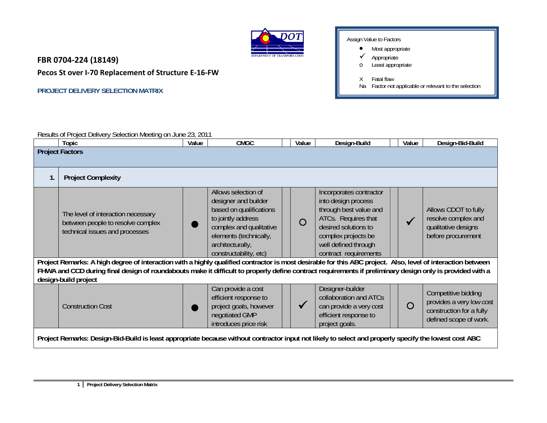

**FBR 0704‐224 (18149)**

**Pecos St over I‐70 Replacement of Structure E‐16‐FW**

**PROJECT DELIVERY SELECTION MATRIX** 

Assign Value to Factors

- $\bullet$ Most appropriate
- $\checkmark$ Appropriate
- oLeast appropriate
- X Fatal flaw
- Na Factor not applicable or relevant to the selection

| Results of Project Delivery Selection Meeting on. | 201<br>$\sim$<br>⊦June 23. |             |       |              |       |                  |
|---------------------------------------------------|----------------------------|-------------|-------|--------------|-------|------------------|
| Topic                                             | Value                      | <b>CMGC</b> | Value | Design-Build | Value | Design-Bid-Build |
| <b>Project Factors</b>                            |                            |             |       |              |       |                  |

|                                                                                                                                                       | Project Factors                                                                                                                                                                                                                                                                                                                                 |                                                                                                                                                                                                 |  |            |                                                                                                                                                                                                 |  |            |                                                                                                       |  |  |
|-------------------------------------------------------------------------------------------------------------------------------------------------------|-------------------------------------------------------------------------------------------------------------------------------------------------------------------------------------------------------------------------------------------------------------------------------------------------------------------------------------------------|-------------------------------------------------------------------------------------------------------------------------------------------------------------------------------------------------|--|------------|-------------------------------------------------------------------------------------------------------------------------------------------------------------------------------------------------|--|------------|-------------------------------------------------------------------------------------------------------|--|--|
|                                                                                                                                                       | <b>Project Complexity</b>                                                                                                                                                                                                                                                                                                                       |                                                                                                                                                                                                 |  |            |                                                                                                                                                                                                 |  |            |                                                                                                       |  |  |
|                                                                                                                                                       | The level of interaction necessary<br>between people to resolve complex<br>technical issues and processes                                                                                                                                                                                                                                       | Allows selection of<br>designer and builder<br>based on qualifications<br>to jointly address<br>complex and qualitative<br>elements (technically,<br>architecturally,<br>constructability, etc) |  | $\bigcirc$ | Incorporates contractor<br>into design process<br>through best value and<br>ATCs. Requires that<br>desired solutions to<br>complex projects be<br>well defined through<br>contract requirements |  |            | Allows CDOT to fully<br>resolve complex and<br>qualitative designs<br>before procurement              |  |  |
|                                                                                                                                                       | Project Remarks: A high degree of interaction with a highly qualified contractor is most desirable for this ABC project. Also, level of interaction between<br>FHWA and CCD during final design of roundabouts make it difficult to properly define contract requirements if preliminary design only is provided with a<br>design-build project |                                                                                                                                                                                                 |  |            |                                                                                                                                                                                                 |  |            |                                                                                                       |  |  |
|                                                                                                                                                       | <b>Construction Cost</b>                                                                                                                                                                                                                                                                                                                        | Can provide a cost<br>efficient response to<br>project goals, however<br>negotiated GMP<br>introduces price risk                                                                                |  |            | Designer-builder<br>collaboration and ATCs<br>can provide a very cost<br>efficient response to<br>project goals.                                                                                |  | $\bigcirc$ | Competitive bidding<br>provides a very low cost<br>construction for a fully<br>defined scope of work. |  |  |
| Project Remarks: Design-Bid-Build is least appropriate because without contractor input not likely to select and properly specify the lowest cost ABC |                                                                                                                                                                                                                                                                                                                                                 |                                                                                                                                                                                                 |  |            |                                                                                                                                                                                                 |  |            |                                                                                                       |  |  |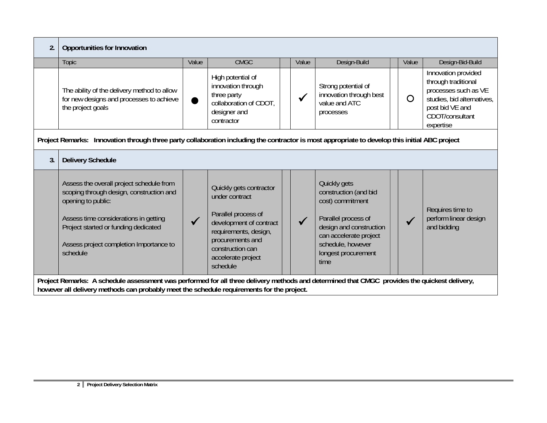| $\overline{2}$ . | Opportunities for Innovation                                                                                                                                                                                                                       |       |                                                                                                                                                                                                                                           |  |              |                                                                                                                                                                                           |  |       |                                                                                                                                                     |  |  |
|------------------|----------------------------------------------------------------------------------------------------------------------------------------------------------------------------------------------------------------------------------------------------|-------|-------------------------------------------------------------------------------------------------------------------------------------------------------------------------------------------------------------------------------------------|--|--------------|-------------------------------------------------------------------------------------------------------------------------------------------------------------------------------------------|--|-------|-----------------------------------------------------------------------------------------------------------------------------------------------------|--|--|
|                  | Topic                                                                                                                                                                                                                                              | Value | <b>CMGC</b>                                                                                                                                                                                                                               |  | Value        | Design-Build                                                                                                                                                                              |  | Value | Design-Bid-Build                                                                                                                                    |  |  |
|                  | The ability of the delivery method to allow<br>for new designs and processes to achieve<br>the project goals                                                                                                                                       |       | High potential of<br>innovation through<br>three party<br>collaboration of CDOT,<br>designer and<br>contractor                                                                                                                            |  | $\checkmark$ | Strong potential of<br>innovation through best<br>value and ATC<br>processes                                                                                                              |  | O     | Innovation provided<br>through traditional<br>processes such as VE<br>studies, bid alternatives,<br>post bid VE and<br>CDOT/consultant<br>expertise |  |  |
|                  | Project Remarks: Innovation through three party collaboration including the contractor is most appropriate to develop this initial ABC project                                                                                                     |       |                                                                                                                                                                                                                                           |  |              |                                                                                                                                                                                           |  |       |                                                                                                                                                     |  |  |
| 3.               | <b>Delivery Schedule</b>                                                                                                                                                                                                                           |       |                                                                                                                                                                                                                                           |  |              |                                                                                                                                                                                           |  |       |                                                                                                                                                     |  |  |
|                  | Assess the overall project schedule from<br>scoping through design, construction and<br>opening to public:<br>Assess time considerations in getting<br>Project started or funding dedicated<br>Assess project completion Importance to<br>schedule |       | Quickly gets contractor<br>under contract<br>Parallel process of<br>development of contract<br>requirements, design,<br>procurements and<br>construction can<br>accelerate project<br>schedule                                            |  | $\sqrt{}$    | Quickly gets<br>construction (and bid<br>cost) commitment<br>Parallel process of<br>design and construction<br>can accelerate project<br>schedule, however<br>longest procurement<br>time |  |       | Requires time to<br>perform linear design<br>and bidding                                                                                            |  |  |
|                  |                                                                                                                                                                                                                                                    |       | Project Remarks: A schedule assessment was performed for all three delivery methods and determined that CMGC provides the quickest delivery,<br>however all delivery methods can probably meet the schedule requirements for the project. |  |              |                                                                                                                                                                                           |  |       |                                                                                                                                                     |  |  |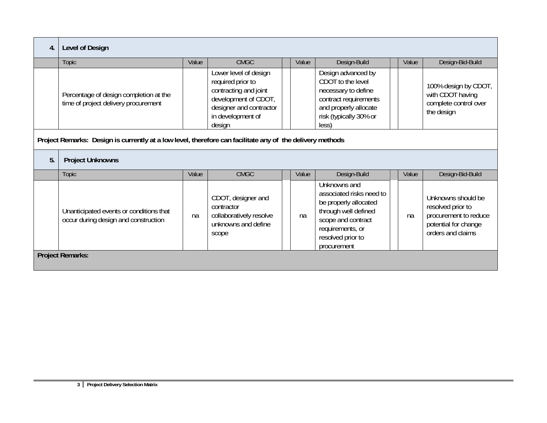| 4. | Level of Design                                                                                           |       |                                                                                                                                                       |  |       |                                                                                                                                                                         |  |       |                                                                                                               |  |
|----|-----------------------------------------------------------------------------------------------------------|-------|-------------------------------------------------------------------------------------------------------------------------------------------------------|--|-------|-------------------------------------------------------------------------------------------------------------------------------------------------------------------------|--|-------|---------------------------------------------------------------------------------------------------------------|--|
|    | <b>Topic</b>                                                                                              | Value | <b>CMGC</b>                                                                                                                                           |  | Value | Design-Build                                                                                                                                                            |  | Value | Design-Bid-Build                                                                                              |  |
|    | Percentage of design completion at the<br>time of project delivery procurement                            |       | Lower level of design<br>required prior to<br>contracting and joint<br>development of CDOT,<br>designer and contractor<br>in development of<br>design |  |       | Design advanced by<br>CDOT to the level<br>necessary to define<br>contract requirements<br>and properly allocate<br>risk (typically 30% or<br>less)                     |  |       | 100% design by CDOT,<br>with CDOT having<br>complete control over<br>the design                               |  |
|    | Project Remarks: Design is currently at a low level, therefore can facilitate any of the delivery methods |       |                                                                                                                                                       |  |       |                                                                                                                                                                         |  |       |                                                                                                               |  |
| 5. | <b>Project Unknowns</b>                                                                                   |       |                                                                                                                                                       |  |       |                                                                                                                                                                         |  |       |                                                                                                               |  |
|    | <b>Topic</b>                                                                                              | Value | <b>CMGC</b>                                                                                                                                           |  | Value | Design-Build                                                                                                                                                            |  | Value | Design-Bid-Build                                                                                              |  |
|    | Unanticipated events or conditions that<br>occur during design and construction                           | na    | CDOT, designer and<br>contractor<br>collaboratively resolve<br>unknowns and define<br>scope                                                           |  | na    | Unknowns and<br>associated risks need to<br>be properly allocated<br>through well defined<br>scope and contract<br>requirements, or<br>resolved prior to<br>procurement |  | na    | Unknowns should be<br>resolved prior to<br>procurement to reduce<br>potential for change<br>orders and claims |  |
|    | <b>Project Remarks:</b>                                                                                   |       |                                                                                                                                                       |  |       |                                                                                                                                                                         |  |       |                                                                                                               |  |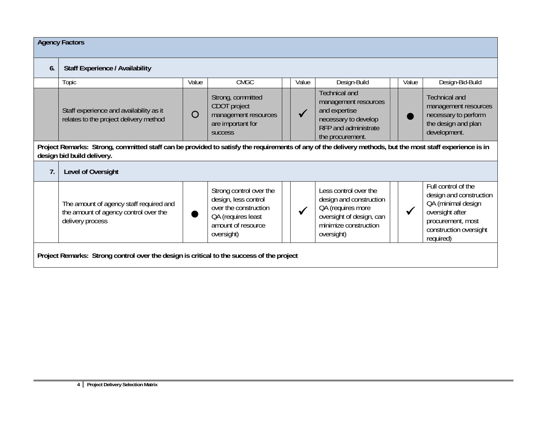|    | <b>Agency Factors</b>                                                                                                                                                                  |       |                                                                                                                                    |  |       |                                                                                                                                          |  |       |                                                                                                                                                     |  |  |
|----|----------------------------------------------------------------------------------------------------------------------------------------------------------------------------------------|-------|------------------------------------------------------------------------------------------------------------------------------------|--|-------|------------------------------------------------------------------------------------------------------------------------------------------|--|-------|-----------------------------------------------------------------------------------------------------------------------------------------------------|--|--|
| 6. | <b>Staff Experience / Availability</b>                                                                                                                                                 |       |                                                                                                                                    |  |       |                                                                                                                                          |  |       |                                                                                                                                                     |  |  |
|    | Topic                                                                                                                                                                                  | Value | CMGC                                                                                                                               |  | Value | Design-Build                                                                                                                             |  | Value | Design-Bid-Build                                                                                                                                    |  |  |
|    | Staff experience and availability as it<br>relates to the project delivery method                                                                                                      | O     | Strong, committed<br>CDOT project<br>management resources<br>are important for<br><b>SUCCESS</b>                                   |  |       | <b>Technical and</b><br>management resources<br>and expertise<br>necessary to develop<br>RFP and administrate<br>the procurement.        |  |       | <b>Technical and</b><br>management resources<br>necessary to perform<br>the design and plan<br>development.                                         |  |  |
|    | Project Remarks: Strong, committed staff can be provided to satisfy the requirements of any of the delivery methods, but the most staff experience is in<br>design bid build delivery. |       |                                                                                                                                    |  |       |                                                                                                                                          |  |       |                                                                                                                                                     |  |  |
| 7. | Level of Oversight                                                                                                                                                                     |       |                                                                                                                                    |  |       |                                                                                                                                          |  |       |                                                                                                                                                     |  |  |
|    | The amount of agency staff required and<br>the amount of agency control over the<br>delivery process                                                                                   |       | Strong control over the<br>design, less control<br>over the construction<br>QA (requires least<br>amount of resource<br>oversight) |  |       | Less control over the<br>design and construction<br>QA (requires more<br>oversight of design, can<br>minimize construction<br>oversight) |  |       | Full control of the<br>design and construction<br>QA (minimal design<br>oversight after<br>procurement, most<br>construction oversight<br>required) |  |  |
|    | Project Remarks: Strong control over the design is critical to the success of the project                                                                                              |       |                                                                                                                                    |  |       |                                                                                                                                          |  |       |                                                                                                                                                     |  |  |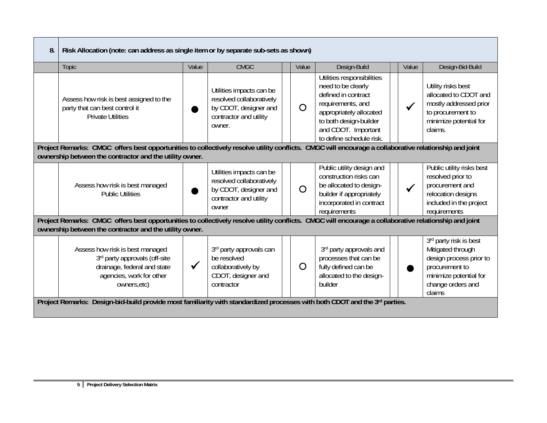| 8. | Risk Allocation (note: can address as single item or by separate sub-sets as shown)                                                                                                                              |              |                                                                                                                   |  |          |                                                                                                                                                                                                      |  |              |                                                                                                                                                   |  |  |
|----|------------------------------------------------------------------------------------------------------------------------------------------------------------------------------------------------------------------|--------------|-------------------------------------------------------------------------------------------------------------------|--|----------|------------------------------------------------------------------------------------------------------------------------------------------------------------------------------------------------------|--|--------------|---------------------------------------------------------------------------------------------------------------------------------------------------|--|--|
|    | <b>Topic</b>                                                                                                                                                                                                     | Value        | <b>CMGC</b>                                                                                                       |  | Value    | Design-Build                                                                                                                                                                                         |  | Value        | Design-Bid-Build                                                                                                                                  |  |  |
|    | Assess how risk is best assigned to the<br>party that can best control it<br><b>Private Utilities</b>                                                                                                            |              | Utilities impacts can be<br>resolved collaboratively<br>by CDOT, designer and<br>contractor and utility<br>owner. |  | $\Omega$ | Utilities responsibilities<br>need to be clearly<br>defined in contract<br>requirements, and<br>appropriately allocated<br>to both design-builder<br>and CDOT. Important<br>to define schedule risk. |  |              | Utility risks best<br>allocated to CDOT and<br>mostly addressed prior<br>to procurement to<br>minimize potential for<br>claims.                   |  |  |
|    | Project Remarks: CMGC offers best opportunities to collectively resolve utility conflicts. CMGC will encourage a collaborative relationship and joint<br>ownership between the contractor and the utility owner. |              |                                                                                                                   |  |          |                                                                                                                                                                                                      |  |              |                                                                                                                                                   |  |  |
|    | Assess how risk is best managed<br><b>Public Utilities</b>                                                                                                                                                       |              | Utilities impacts can be<br>resolved collaboratively<br>by CDOT, designer and<br>contractor and utility<br>owner  |  | O        | Public utility design and<br>construction risks can<br>be allocated to design-<br>builder if appropriately<br>incorporated in contract<br>requirements                                               |  | $\checkmark$ | Public utility risks best<br>resolved prior to<br>procurement and<br>relocation designs<br>included in the project<br>requirements                |  |  |
|    | Project Remarks: CMGC offers best opportunities to collectively resolve utility conflicts. CMGC will encourage a collaborative relationship and joint<br>ownership between the contractor and the utility owner. |              |                                                                                                                   |  |          |                                                                                                                                                                                                      |  |              |                                                                                                                                                   |  |  |
|    | Assess how risk is best managed<br>3rd party approvals (off-site<br>drainage, federal and state<br>agencies, work for other<br>owners, etc)                                                                      | $\checkmark$ | 3rd party approvals can<br>be resolved<br>collaboratively by<br>CDOT, designer and<br>contractor                  |  | $\circ$  | 3rd party approvals and<br>processes that can be<br>fully defined can be<br>allocated to the design-<br>builder                                                                                      |  |              | 3rd party risk is best<br>Mitigated through<br>design process prior to<br>procurement to<br>minimize potential for<br>change orders and<br>claims |  |  |
|    | Project Remarks: Design-bid-build provide most familiarity with standardized processes with both CDOT and the 3rd parties.                                                                                       |              |                                                                                                                   |  |          |                                                                                                                                                                                                      |  |              |                                                                                                                                                   |  |  |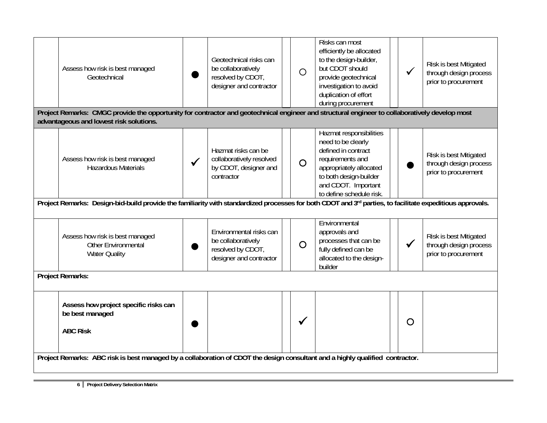| Project Remarks: CMGC provide the opportunity for contractor and geotechnical engineer and structural engineer to collaboratively develop most<br>advantageous and lowest risk solutions.                                                                                                                                                                                                                                                                                                                                                                                                                              |  |
|------------------------------------------------------------------------------------------------------------------------------------------------------------------------------------------------------------------------------------------------------------------------------------------------------------------------------------------------------------------------------------------------------------------------------------------------------------------------------------------------------------------------------------------------------------------------------------------------------------------------|--|
| Hazmat responsibilities<br>need to be clearly<br>defined in contract<br>Hazmat risks can be<br>Risk is best Mitigated<br>collaboratively resolved<br>requirements and<br>Assess how risk is best managed<br>$\overline{O}$<br>through design process<br><b>Hazardous Materials</b><br>by CDOT, designer and<br>appropriately allocated<br>prior to procurement<br>contractor<br>to both design-builder<br>and CDOT. Important<br>to define schedule risk.<br>Project Remarks: Design-bid-build provide the familiarity with standardized processes for both CDOT and 3rd parties, to facilitate expeditious approvals. |  |
| Environmental<br>Environmental risks can<br>approvals and<br>Assess how risk is best managed<br>Risk is best Mitigated<br>be collaboratively<br>processes that can be<br>$\overline{O}$<br>Other Environmental<br>through design process<br>resolved by CDOT,<br>fully defined can be<br><b>Water Quality</b><br>prior to procurement<br>designer and contractor<br>allocated to the design-<br>builder<br><b>Project Remarks:</b>                                                                                                                                                                                     |  |
| Assess how project specific risks can<br>be best managed<br>O<br><b>ABC Risk</b><br>Project Remarks: ABC risk is best managed by a collaboration of CDOT the design consultant and a highly qualified contractor.                                                                                                                                                                                                                                                                                                                                                                                                      |  |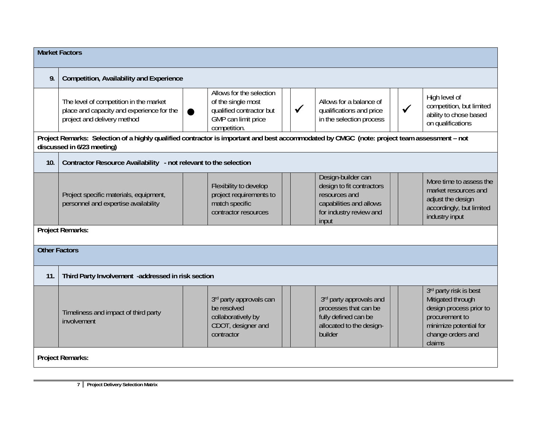|                      | <b>Market Factors</b>                                                                                                                                                     |                                                                                                                   |              |                                                                                                                                 |              |                                                                                                                                                   |  |  |  |  |  |
|----------------------|---------------------------------------------------------------------------------------------------------------------------------------------------------------------------|-------------------------------------------------------------------------------------------------------------------|--------------|---------------------------------------------------------------------------------------------------------------------------------|--------------|---------------------------------------------------------------------------------------------------------------------------------------------------|--|--|--|--|--|
| 9.                   | <b>Competition, Availability and Experience</b>                                                                                                                           |                                                                                                                   |              |                                                                                                                                 |              |                                                                                                                                                   |  |  |  |  |  |
|                      | The level of competition in the market<br>place and capacity and experience for the<br>project and delivery method                                                        | Allows for the selection<br>of the single most<br>qualified contractor but<br>GMP can limit price<br>competition. | $\checkmark$ | Allows for a balance of<br>qualifications and price<br>in the selection process                                                 | $\checkmark$ | High level of<br>competition, but limited<br>ability to chose based<br>on qualifications                                                          |  |  |  |  |  |
|                      | Project Remarks: Selection of a highly qualified contractor is important and best accommodated by CMGC (note: project team assessment - not<br>discussed in 6/23 meeting) |                                                                                                                   |              |                                                                                                                                 |              |                                                                                                                                                   |  |  |  |  |  |
| 10.                  | Contractor Resource Availability - not relevant to the selection                                                                                                          |                                                                                                                   |              |                                                                                                                                 |              |                                                                                                                                                   |  |  |  |  |  |
|                      | Project specific materials, equipment,<br>personnel and expertise availability                                                                                            | Flexibility to develop<br>project requirements to<br>match specific<br>contractor resources                       |              | Design-builder can<br>design to fit contractors<br>resources and<br>capabilities and allows<br>for industry review and<br>input |              | More time to assess the<br>market resources and<br>adjust the design<br>accordingly, but limited<br>industry input                                |  |  |  |  |  |
|                      | <b>Project Remarks:</b>                                                                                                                                                   |                                                                                                                   |              |                                                                                                                                 |              |                                                                                                                                                   |  |  |  |  |  |
| <b>Other Factors</b> |                                                                                                                                                                           |                                                                                                                   |              |                                                                                                                                 |              |                                                                                                                                                   |  |  |  |  |  |
| 11.                  | Third Party Involvement -addressed in risk section                                                                                                                        |                                                                                                                   |              |                                                                                                                                 |              |                                                                                                                                                   |  |  |  |  |  |
|                      | Timeliness and impact of third party<br>involvement                                                                                                                       | 3rd party approvals can<br>be resolved<br>collaboratively by<br>CDOT, designer and<br>contractor                  |              | 3rd party approvals and<br>processes that can be<br>fully defined can be<br>allocated to the design-<br>builder                 |              | 3rd party risk is best<br>Mitigated through<br>design process prior to<br>procurement to<br>minimize potential for<br>change orders and<br>claims |  |  |  |  |  |
|                      | <b>Project Remarks:</b>                                                                                                                                                   |                                                                                                                   |              |                                                                                                                                 |              |                                                                                                                                                   |  |  |  |  |  |